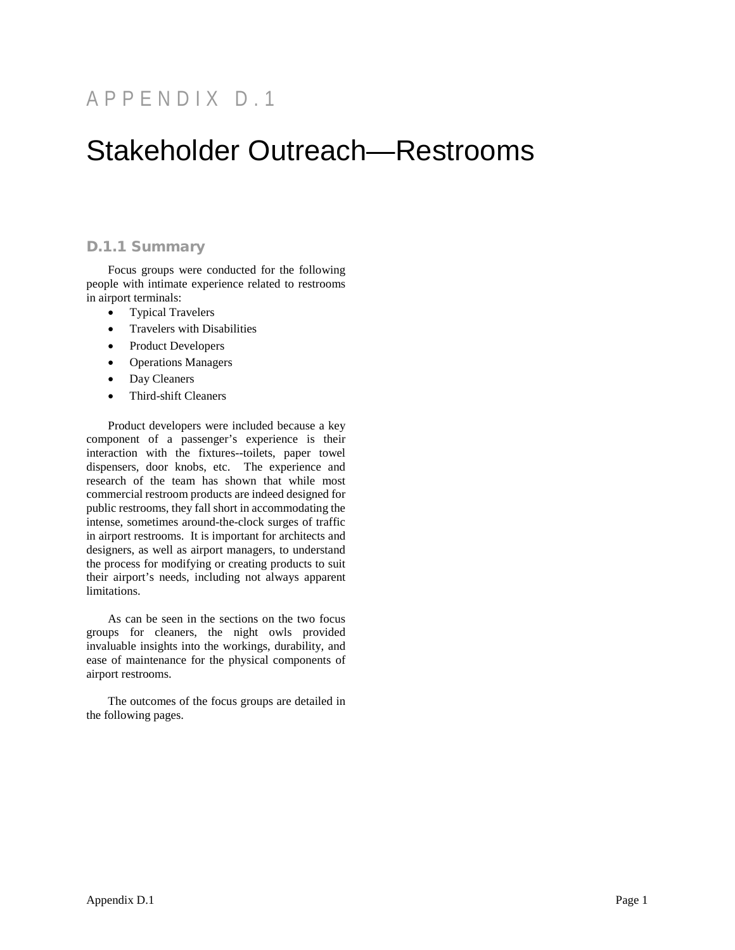# APPENDIX D . 1

# Stakeholder Outreach—Restrooms

# D.1.1 Summary

Focus groups were conducted for the following people with intimate experience related to restrooms in airport terminals:

- Typical Travelers
- Travelers with Disabilities
- Product Developers
- Operations Managers
- Day Cleaners
- Third-shift Cleaners

Product developers were included because a key component of a passenger's experience is their interaction with the fixtures--toilets, paper towel dispensers, door knobs, etc. The experience and research of the team has shown that while most commercial restroom products are indeed designed for public restrooms, they fall short in accommodating the intense, sometimes around-the-clock surges of traffic in airport restrooms. It is important for architects and designers, as well as airport managers, to understand the process for modifying or creating products to suit their airport's needs, including not always apparent limitations.

As can be seen in the sections on the two focus groups for cleaners, the night owls provided invaluable insights into the workings, durability, and ease of maintenance for the physical components of airport restrooms.

The outcomes of the focus groups are detailed in the following pages.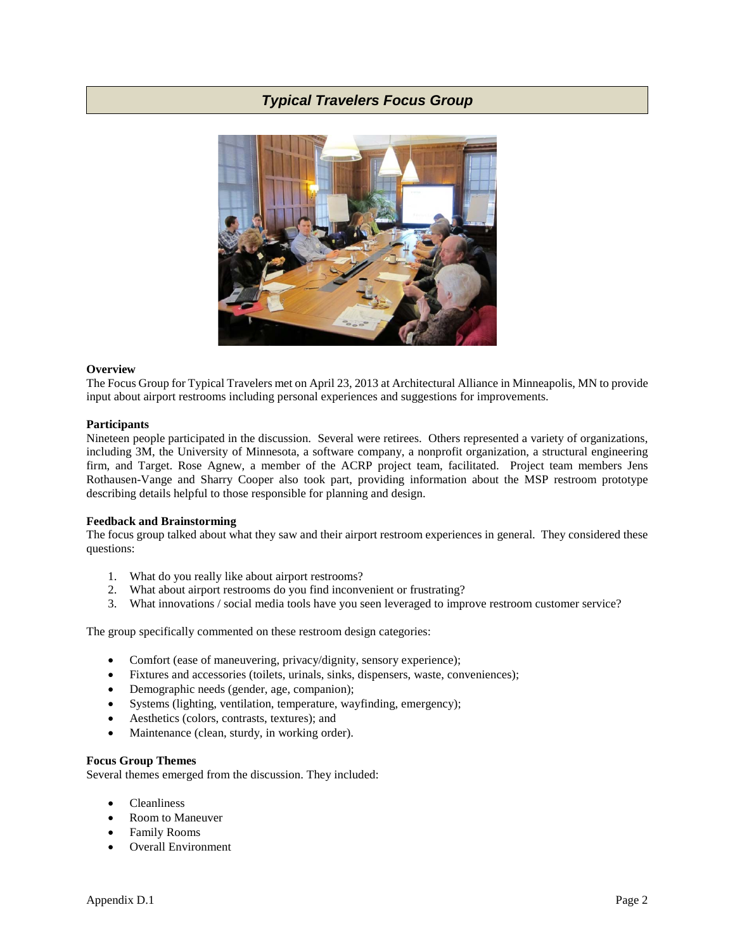

# **Overview**

The Focus Group for Typical Travelers met on April 23, 2013 at Architectural Alliance in Minneapolis, MN to provide input about airport restrooms including personal experiences and suggestions for improvements.

## **Participants**

Nineteen people participated in the discussion. Several were retirees. Others represented a variety of organizations, including 3M, the University of Minnesota, a software company, a nonprofit organization, a structural engineering firm, and Target. Rose Agnew, a member of the ACRP project team, facilitated. Project team members Jens Rothausen-Vange and Sharry Cooper also took part, providing information about the MSP restroom prototype describing details helpful to those responsible for planning and design.

# **Feedback and Brainstorming**

The focus group talked about what they saw and their airport restroom experiences in general. They considered these questions:

- 1. What do you really like about airport restrooms?
- 2. What about airport restrooms do you find inconvenient or frustrating?
- 3. What innovations / social media tools have you seen leveraged to improve restroom customer service?

The group specifically commented on these restroom design categories:

- Comfort (ease of maneuvering, privacy/dignity, sensory experience);
- Fixtures and accessories (toilets, urinals, sinks, dispensers, waste, conveniences);
- Demographic needs (gender, age, companion);
- Systems (lighting, ventilation, temperature, wayfinding, emergency);
- Aesthetics (colors, contrasts, textures); and
- Maintenance (clean, sturdy, in working order).

## **Focus Group Themes**

Several themes emerged from the discussion. They included:

- Cleanliness
- Room to Maneuver
- Family Rooms
- Overall Environment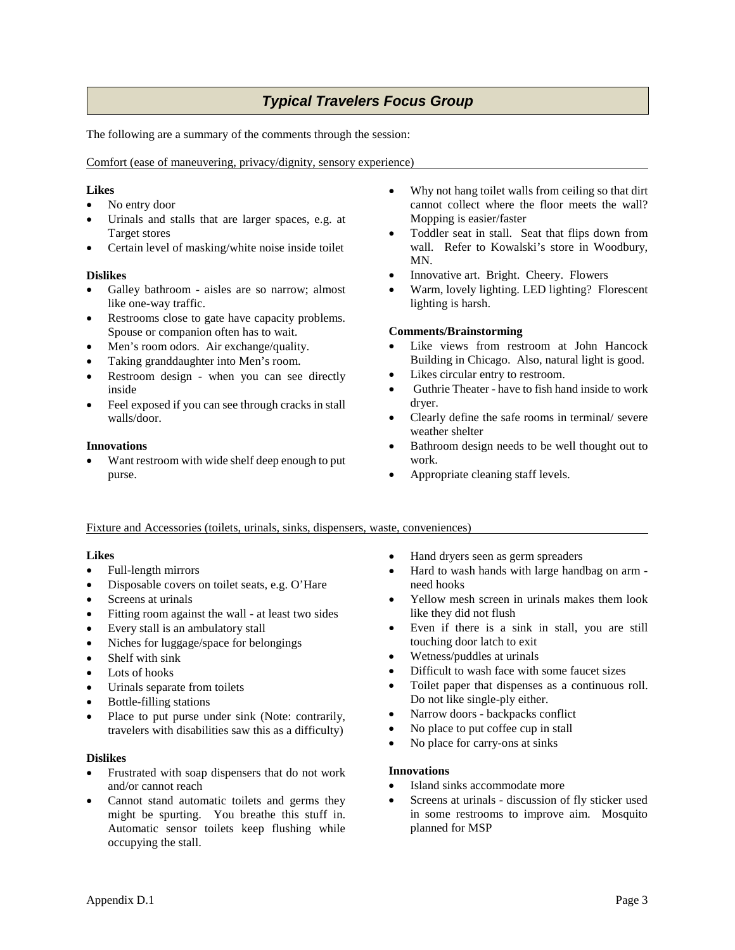The following are a summary of the comments through the session:

Comfort (ease of maneuvering, privacy/dignity, sensory experience)

# **Likes**

- No entry door
- Urinals and stalls that are larger spaces, e.g. at Target stores
- Certain level of masking/white noise inside toilet

# **Dislikes**

- Galley bathroom aisles are so narrow; almost like one-way traffic.
- Restrooms close to gate have capacity problems. Spouse or companion often has to wait.
- Men's room odors. Air exchange/quality.
- Taking granddaughter into Men's room.
- Restroom design when you can see directly inside
- Feel exposed if you can see through cracks in stall walls/door.

# **Innovations**

Want restroom with wide shelf deep enough to put purse.

- Why not hang toilet walls from ceiling so that dirt cannot collect where the floor meets the wall? Mopping is easier/faster
- Toddler seat in stall. Seat that flips down from wall. Refer to Kowalski's store in Woodbury, MN.
- Innovative art. Bright. Cheery. Flowers
- Warm, lovely lighting. LED lighting? Florescent lighting is harsh.

# **Comments/Brainstorming**

- Like views from restroom at John Hancock Building in Chicago. Also, natural light is good.
- Likes circular entry to restroom.
- Guthrie Theater have to fish hand inside to work dryer.
- Clearly define the safe rooms in terminal/ severe weather shelter
- Bathroom design needs to be well thought out to work.
- Appropriate cleaning staff levels.

# Fixture and Accessories (toilets, urinals, sinks, dispensers, waste, conveniences)

# **Likes**

- Full-length mirrors
- Disposable covers on toilet seats, e.g. O'Hare
- Screens at urinals
- Fitting room against the wall at least two sides
- Every stall is an ambulatory stall
- Niches for luggage/space for belongings
- Shelf with sink
- Lots of hooks
- Urinals separate from toilets
- Bottle-filling stations
- Place to put purse under sink (Note: contrarily, travelers with disabilities saw this as a difficulty)

# **Dislikes**

- Frustrated with soap dispensers that do not work and/or cannot reach
- Cannot stand automatic toilets and germs they might be spurting. You breathe this stuff in. Automatic sensor toilets keep flushing while occupying the stall.
- Hand dryers seen as germ spreaders
- Hard to wash hands with large handbag on arm need hooks
- Yellow mesh screen in urinals makes them look like they did not flush
- Even if there is a sink in stall, you are still touching door latch to exit
- Wetness/puddles at urinals
- Difficult to wash face with some faucet sizes
- Toilet paper that dispenses as a continuous roll. Do not like single-ply either.
- Narrow doors backpacks conflict
- No place to put coffee cup in stall
- No place for carry-ons at sinks

# **Innovations**

- Island sinks accommodate more
- Screens at urinals discussion of fly sticker used in some restrooms to improve aim. Mosquito planned for MSP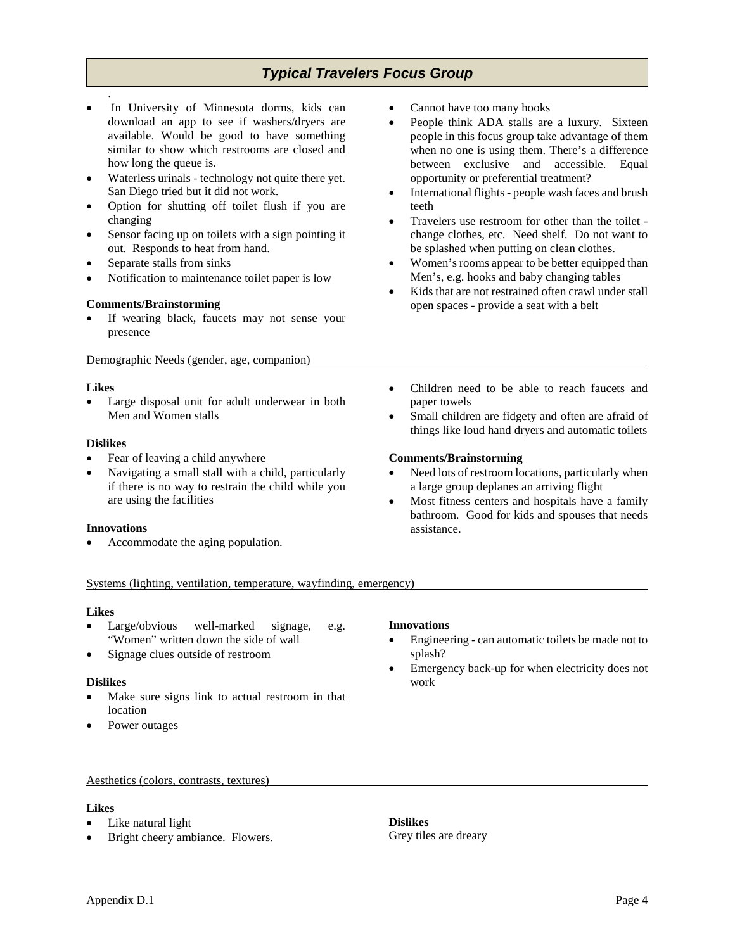- In University of Minnesota dorms, kids can download an app to see if washers/dryers are available. Would be good to have something similar to show which restrooms are closed and how long the queue is.
- Waterless urinals technology not quite there yet. San Diego tried but it did not work.
- Option for shutting off toilet flush if you are changing
- Sensor facing up on toilets with a sign pointing it out. Responds to heat from hand.
- Separate stalls from sinks
- Notification to maintenance toilet paper is low

# **Comments/Brainstorming**

If wearing black, faucets may not sense your presence

Demographic Needs (gender, age, companion)

## **Likes**

.

• Large disposal unit for adult underwear in both Men and Women stalls

# **Dislikes**

- Fear of leaving a child anywhere
- Navigating a small stall with a child, particularly if there is no way to restrain the child while you are using the facilities

## **Innovations**

• Accommodate the aging population.

- Cannot have too many hooks
- People think ADA stalls are a luxury. Sixteen people in this focus group take advantage of them when no one is using them. There's a difference between exclusive and accessible. Equal opportunity or preferential treatment?
- International flights people wash faces and brush teeth
- Travelers use restroom for other than the toilet change clothes, etc. Need shelf. Do not want to be splashed when putting on clean clothes.
- Women's rooms appear to be better equipped than Men's, e.g. hooks and baby changing tables
- Kids that are not restrained often crawl under stall open spaces - provide a seat with a belt
- Children need to be able to reach faucets and paper towels
- Small children are fidgety and often are afraid of things like loud hand dryers and automatic toilets

# **Comments/Brainstorming**

- Need lots of restroom locations, particularly when a large group deplanes an arriving flight
- Most fitness centers and hospitals have a family bathroom. Good for kids and spouses that needs assistance.

## Systems (lighting, ventilation, temperature, wayfinding, emergency)

## **Likes**

- Large/obvious well-marked signage, e.g. "Women" written down the side of wall
- Signage clues outside of restroom

## **Dislikes**

- Make sure signs link to actual restroom in that location
- Power outages

## **Innovations**

- Engineering can automatic toilets be made not to splash?
- Emergency back-up for when electricity does not work

Aesthetics (colors, contrasts, textures)

# **Likes**

- Like natural light
- Bright cheery ambiance. Flowers.

**Dislikes** Grey tiles are dreary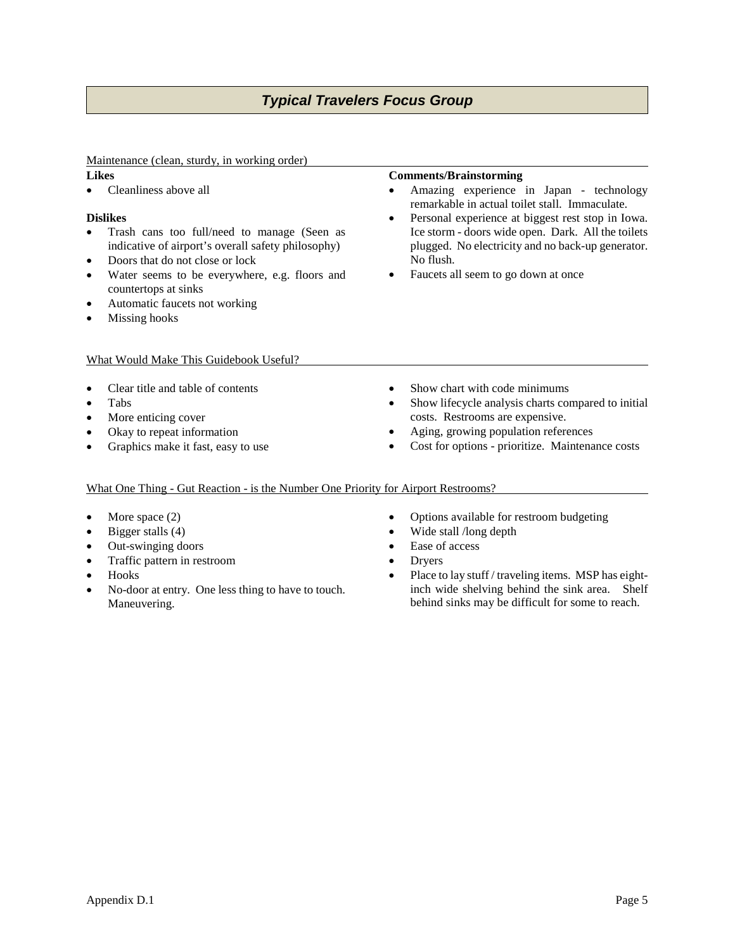# Maintenance (clean, sturdy, in working order)

# **Likes**

• Cleanliness above all

# **Dislikes**

- Trash cans too full/need to manage (Seen as indicative of airport's overall safety philosophy)
- Doors that do not close or lock
- Water seems to be everywhere, e.g. floors and countertops at sinks
- Automatic faucets not working
- Missing hooks

# What Would Make This Guidebook Useful?

- Clear title and table of contents
- Tabs
- More enticing cover
- Okay to repeat information
- Graphics make it fast, easy to use

# **Comments/Brainstorming**

- Amazing experience in Japan technology remarkable in actual toilet stall. Immaculate.
- Personal experience at biggest rest stop in Iowa. Ice storm - doors wide open. Dark. All the toilets plugged. No electricity and no back-up generator. No flush.
- Faucets all seem to go down at once

- Show chart with code minimums
- Show lifecycle analysis charts compared to initial costs. Restrooms are expensive.
- Aging, growing population references
- Cost for options prioritize. Maintenance costs

# What One Thing - Gut Reaction - is the Number One Priority for Airport Restrooms?

- More space (2)
- Bigger stalls (4)
- Out-swinging doors
- Traffic pattern in restroom
- Hooks
- No-door at entry. One less thing to have to touch. Maneuvering.
- Options available for restroom budgeting
- Wide stall /long depth
- Ease of access
- Dryers
- Place to lay stuff / traveling items. MSP has eightinch wide shelving behind the sink area. Shelf behind sinks may be difficult for some to reach.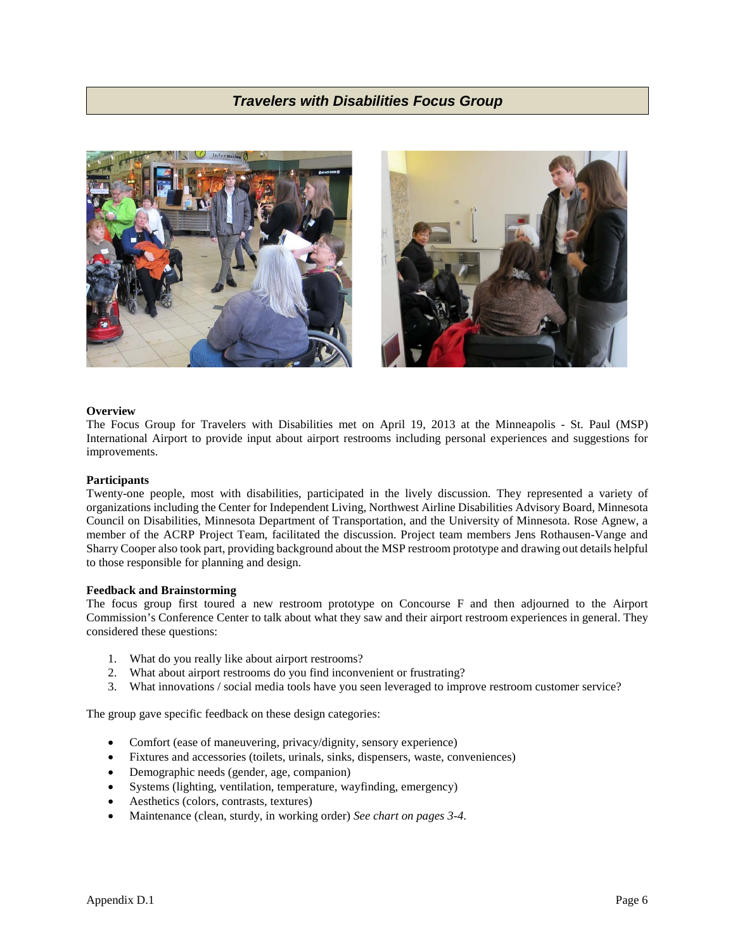



## **Overview**

The Focus Group for Travelers with Disabilities met on April 19, 2013 at the Minneapolis - St. Paul (MSP) International Airport to provide input about airport restrooms including personal experiences and suggestions for improvements.

#### **Participants**

Twenty-one people, most with disabilities, participated in the lively discussion. They represented a variety of organizations including the Center for Independent Living, Northwest Airline Disabilities Advisory Board, Minnesota Council on Disabilities, Minnesota Department of Transportation, and the University of Minnesota. Rose Agnew, a member of the ACRP Project Team, facilitated the discussion. Project team members Jens Rothausen-Vange and Sharry Cooper also took part, providing background about the MSP restroom prototype and drawing out details helpful to those responsible for planning and design.

#### **Feedback and Brainstorming**

The focus group first toured a new restroom prototype on Concourse F and then adjourned to the Airport Commission's Conference Center to talk about what they saw and their airport restroom experiences in general. They considered these questions:

- 1. What do you really like about airport restrooms?
- 2. What about airport restrooms do you find inconvenient or frustrating?
- 3. What innovations / social media tools have you seen leveraged to improve restroom customer service?

The group gave specific feedback on these design categories:

- Comfort (ease of maneuvering, privacy/dignity, sensory experience)
- Fixtures and accessories (toilets, urinals, sinks, dispensers, waste, conveniences)
- Demographic needs (gender, age, companion)
- Systems (lighting, ventilation, temperature, wayfinding, emergency)
- Aesthetics (colors, contrasts, textures)
- Maintenance (clean, sturdy, in working order) *See chart on pages 3-4.*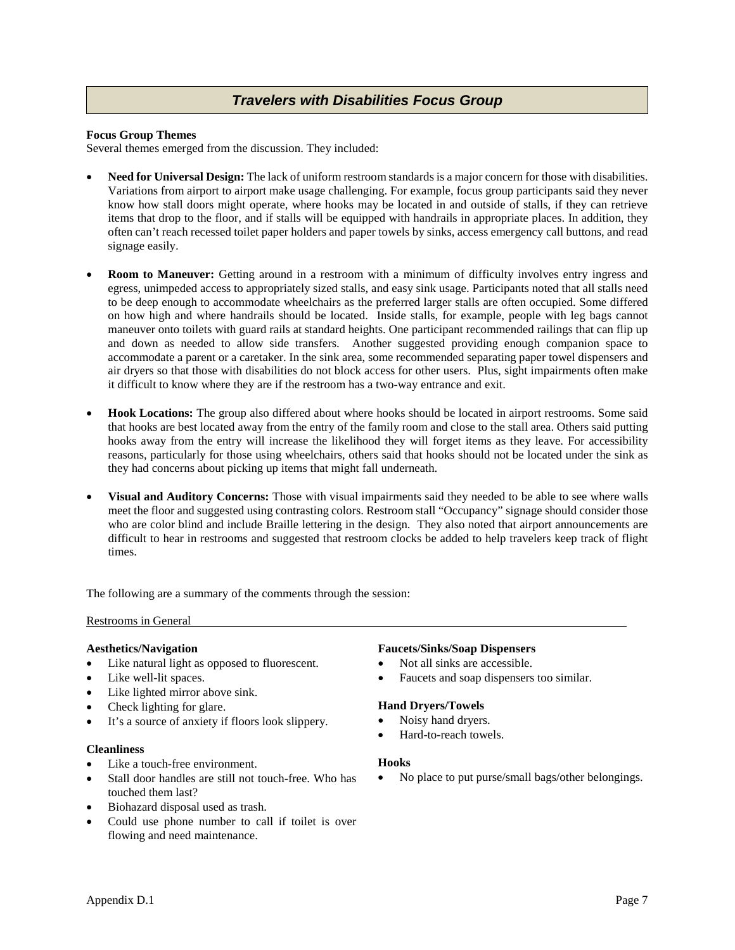## **Focus Group Themes**

Several themes emerged from the discussion. They included:

- **Need for Universal Design:** The lack of uniform restroom standards is a major concern for those with disabilities. Variations from airport to airport make usage challenging. For example, focus group participants said they never know how stall doors might operate, where hooks may be located in and outside of stalls, if they can retrieve items that drop to the floor, and if stalls will be equipped with handrails in appropriate places. In addition, they often can't reach recessed toilet paper holders and paper towels by sinks, access emergency call buttons, and read signage easily.
- **Room to Maneuver:** Getting around in a restroom with a minimum of difficulty involves entry ingress and egress, unimpeded access to appropriately sized stalls, and easy sink usage. Participants noted that all stalls need to be deep enough to accommodate wheelchairs as the preferred larger stalls are often occupied. Some differed on how high and where handrails should be located. Inside stalls, for example, people with leg bags cannot maneuver onto toilets with guard rails at standard heights. One participant recommended railings that can flip up and down as needed to allow side transfers. Another suggested providing enough companion space to accommodate a parent or a caretaker. In the sink area, some recommended separating paper towel dispensers and air dryers so that those with disabilities do not block access for other users. Plus, sight impairments often make it difficult to know where they are if the restroom has a two-way entrance and exit.
- **Hook Locations:** The group also differed about where hooks should be located in airport restrooms. Some said that hooks are best located away from the entry of the family room and close to the stall area. Others said putting hooks away from the entry will increase the likelihood they will forget items as they leave. For accessibility reasons, particularly for those using wheelchairs, others said that hooks should not be located under the sink as they had concerns about picking up items that might fall underneath.
- **Visual and Auditory Concerns:** Those with visual impairments said they needed to be able to see where walls meet the floor and suggested using contrasting colors. Restroom stall "Occupancy" signage should consider those who are color blind and include Braille lettering in the design. They also noted that airport announcements are difficult to hear in restrooms and suggested that restroom clocks be added to help travelers keep track of flight times.

The following are a summary of the comments through the session:

## Restrooms in General

## **Aesthetics/Navigation**

- Like natural light as opposed to fluorescent.
- Like well-lit spaces.
- Like lighted mirror above sink.
- Check lighting for glare.
- It's a source of anxiety if floors look slippery.

## **Cleanliness**

- Like a touch-free environment.
- Stall door handles are still not touch-free. Who has touched them last?
- Biohazard disposal used as trash.
- Could use phone number to call if toilet is over flowing and need maintenance.

## **Faucets/Sinks/Soap Dispensers**

- Not all sinks are accessible.
- Faucets and soap dispensers too similar.

## **Hand Dryers/Towels**

- Noisy hand dryers.
- Hard-to-reach towels.

#### **Hooks**

• No place to put purse/small bags/other belongings.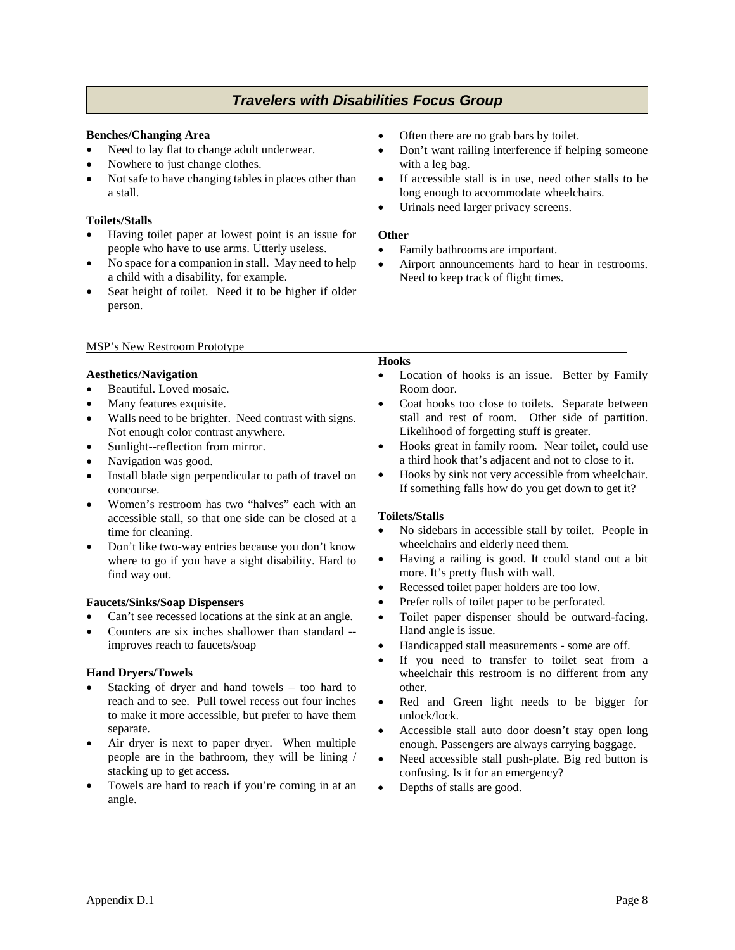# **Benches/Changing Area**

- Need to lay flat to change adult underwear.
- Nowhere to just change clothes.
- Not safe to have changing tables in places other than a stall.

# **Toilets/Stalls**

- Having toilet paper at lowest point is an issue for people who have to use arms. Utterly useless.
- No space for a companion in stall. May need to help a child with a disability, for example.
- Seat height of toilet. Need it to be higher if older person.

# MSP's New Restroom Prototype

## **Aesthetics/Navigation**

- Beautiful. Loved mosaic.
- Many features exquisite.
- Walls need to be brighter. Need contrast with signs. Not enough color contrast anywhere.
- Sunlight--reflection from mirror.
- Navigation was good.
- Install blade sign perpendicular to path of travel on concourse.
- Women's restroom has two "halves" each with an accessible stall, so that one side can be closed at a time for cleaning.
- Don't like two-way entries because you don't know where to go if you have a sight disability. Hard to find way out.

## **Faucets/Sinks/Soap Dispensers**

- Can't see recessed locations at the sink at an angle.
- Counters are six inches shallower than standard improves reach to faucets/soap

# **Hand Dryers/Towels**

- Stacking of dryer and hand towels  $-$  too hard to reach and to see. Pull towel recess out four inches to make it more accessible, but prefer to have them separate.
- Air dryer is next to paper dryer. When multiple people are in the bathroom, they will be lining / stacking up to get access.
- Towels are hard to reach if you're coming in at an angle.
- Often there are no grab bars by toilet.
- Don't want railing interference if helping someone with a leg bag.
- If accessible stall is in use, need other stalls to be long enough to accommodate wheelchairs.
- Urinals need larger privacy screens.

## **Other**

- Family bathrooms are important.
- Airport announcements hard to hear in restrooms. Need to keep track of flight times.

# **Hooks**

- Location of hooks is an issue. Better by Family Room door.
- Coat hooks too close to toilets. Separate between stall and rest of room. Other side of partition. Likelihood of forgetting stuff is greater.
- Hooks great in family room. Near toilet, could use a third hook that's adjacent and not to close to it.
- Hooks by sink not very accessible from wheelchair. If something falls how do you get down to get it?

## **Toilets/Stalls**

- No sidebars in accessible stall by toilet. People in wheelchairs and elderly need them.
- Having a railing is good. It could stand out a bit more. It's pretty flush with wall.
- Recessed toilet paper holders are too low.
- Prefer rolls of toilet paper to be perforated.
- Toilet paper dispenser should be outward-facing. Hand angle is issue.
- Handicapped stall measurements some are off.
- If you need to transfer to toilet seat from a wheelchair this restroom is no different from any other.
- Red and Green light needs to be bigger for unlock/lock.
- Accessible stall auto door doesn't stay open long enough. Passengers are always carrying baggage.
- Need accessible stall push-plate. Big red button is confusing. Is it for an emergency?
- Depths of stalls are good.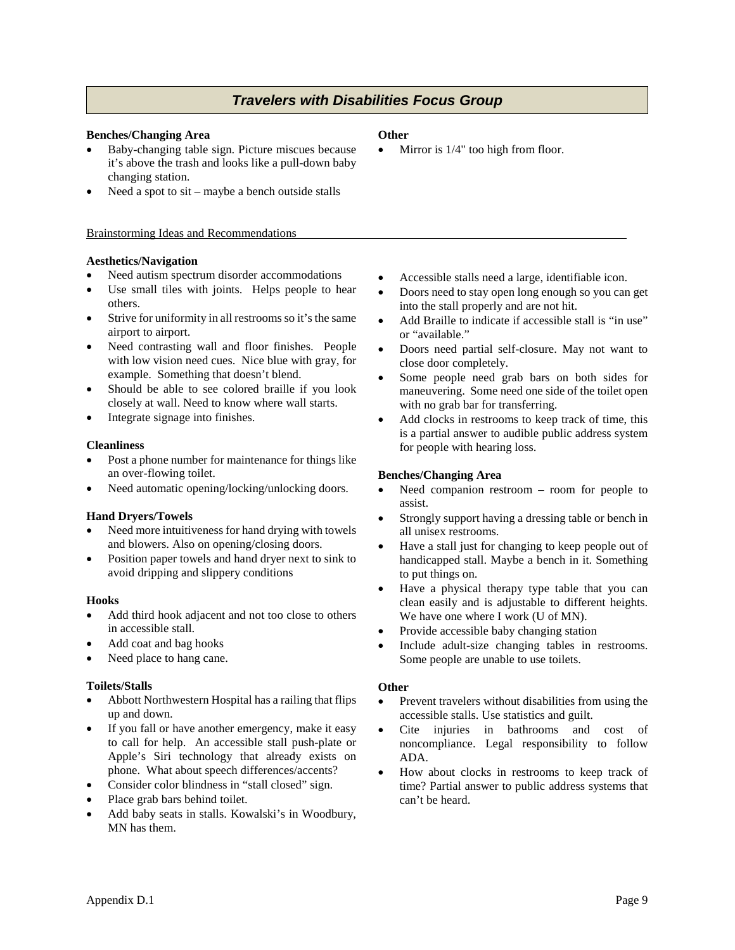## **Benches/Changing Area**

- Baby-changing table sign. Picture miscues because it's above the trash and looks like a pull-down baby changing station.
- Need a spot to  $s$ it maybe a bench outside stalls

## Brainstorming Ideas and Recommendations

# **Aesthetics/Navigation**

- Need autism spectrum disorder accommodations
- Use small tiles with joints. Helps people to hear others.
- Strive for uniformity in all restrooms so it's the same airport to airport.
- Need contrasting wall and floor finishes. People with low vision need cues. Nice blue with gray, for example. Something that doesn't blend.
- Should be able to see colored braille if you look closely at wall. Need to know where wall starts.
- Integrate signage into finishes.

# **Cleanliness**

- Post a phone number for maintenance for things like an over-flowing toilet.
- Need automatic opening/locking/unlocking doors.

## **Hand Dryers/Towels**

- Need more intuitiveness for hand drying with towels and blowers. Also on opening/closing doors.
- Position paper towels and hand dryer next to sink to avoid dripping and slippery conditions

## **Hooks**

- Add third hook adjacent and not too close to others in accessible stall.
- Add coat and bag hooks
- Need place to hang cane.

# **Toilets/Stalls**

- Abbott Northwestern Hospital has a railing that flips up and down.
- If you fall or have another emergency, make it easy to call for help. An accessible stall push-plate or Apple's Siri technology that already exists on phone. What about speech differences/accents?
- Consider color blindness in "stall closed" sign.
- Place grab bars behind toilet.
- Add baby seats in stalls. Kowalski's in Woodbury, MN has them.

# **Other**

Mirror is  $1/4"$  too high from floor.

- Accessible stalls need a large, identifiable icon.
- Doors need to stay open long enough so you can get into the stall properly and are not hit.
- Add Braille to indicate if accessible stall is "in use" or "available."
- Doors need partial self-closure. May not want to close door completely.
- Some people need grab bars on both sides for maneuvering. Some need one side of the toilet open with no grab bar for transferring.
- Add clocks in restrooms to keep track of time, this is a partial answer to audible public address system for people with hearing loss.

## **Benches/Changing Area**

- Need companion restroom room for people to assist.
- Strongly support having a dressing table or bench in all unisex restrooms.
- Have a stall just for changing to keep people out of handicapped stall. Maybe a bench in it. Something to put things on.
- Have a physical therapy type table that you can clean easily and is adjustable to different heights. We have one where I work (U of MN).
- Provide accessible baby changing station
- Include adult-size changing tables in restrooms. Some people are unable to use toilets.

# **Other**

- Prevent travelers without disabilities from using the accessible stalls. Use statistics and guilt.
- Cite injuries in bathrooms and cost of noncompliance. Legal responsibility to follow ADA.
- How about clocks in restrooms to keep track of time? Partial answer to public address systems that can't be heard.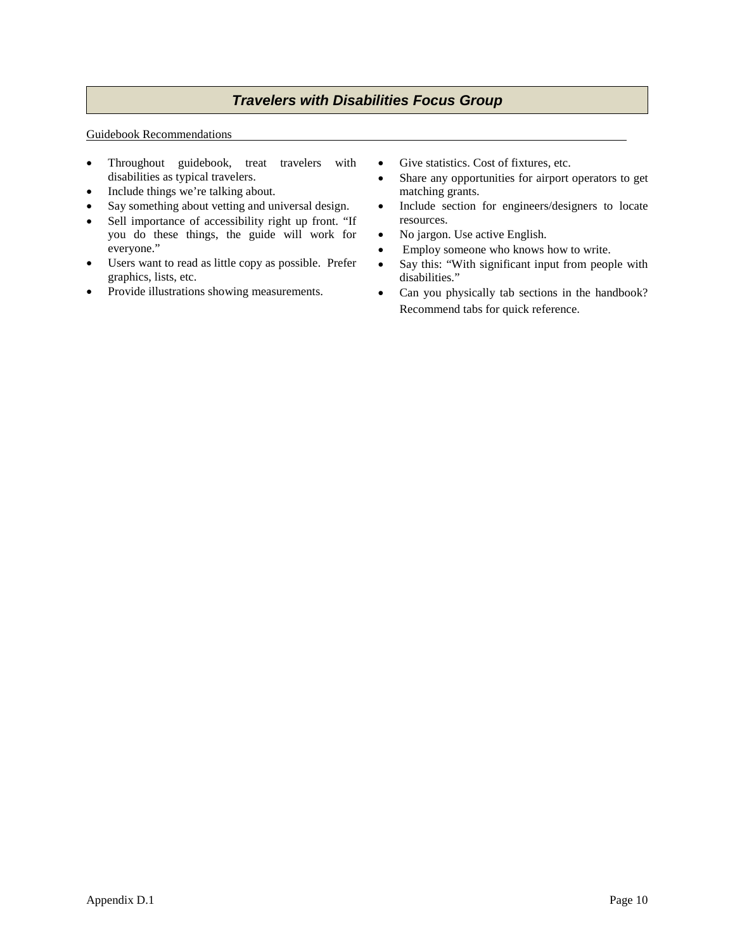#### Guidebook Recommendations

- Throughout guidebook, treat travelers with disabilities as typical travelers.
- Include things we're talking about.
- Say something about vetting and universal design.
- Sell importance of accessibility right up front. "If you do these things, the guide will work for everyone."
- Users want to read as little copy as possible. Prefer graphics, lists, etc.
- Provide illustrations showing measurements.
- Give statistics. Cost of fixtures, etc.
- Share any opportunities for airport operators to get matching grants.
- Include section for engineers/designers to locate resources.
- No jargon. Use active English.
- Employ someone who knows how to write.
- Say this: "With significant input from people with disabilities."
- Can you physically tab sections in the handbook? Recommend tabs for quick reference.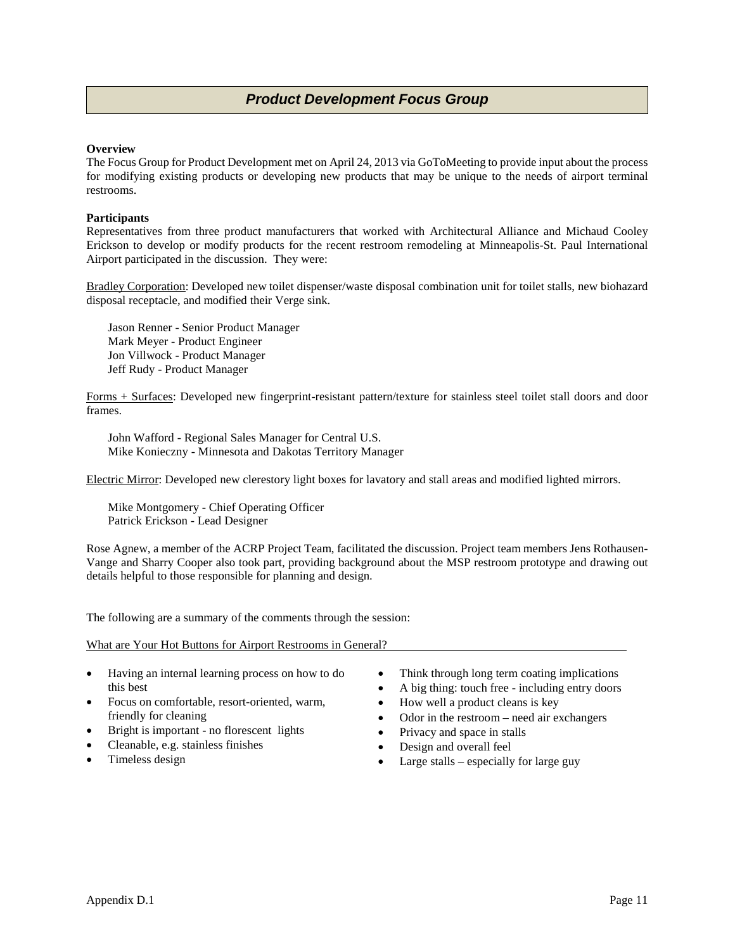# *Product Development Focus Group*

# **Overview**

The Focus Group for Product Development met on April 24, 2013 via GoToMeeting to provide input about the process for modifying existing products or developing new products that may be unique to the needs of airport terminal restrooms.

# **Participants**

Representatives from three product manufacturers that worked with Architectural Alliance and Michaud Cooley Erickson to develop or modify products for the recent restroom remodeling at Minneapolis-St. Paul International Airport participated in the discussion. They were:

Bradley Corporation: Developed new toilet dispenser/waste disposal combination unit for toilet stalls, new biohazard disposal receptacle, and modified their Verge sink.

Jason Renner - Senior Product Manager Mark Meyer - Product Engineer Jon Villwock - Product Manager Jeff Rudy - Product Manager

Forms + Surfaces: Developed new fingerprint-resistant pattern/texture for stainless steel toilet stall doors and door frames.

John Wafford - Regional Sales Manager for Central U.S. Mike Konieczny - Minnesota and Dakotas Territory Manager

Electric Mirror: Developed new clerestory light boxes for lavatory and stall areas and modified lighted mirrors.

Mike Montgomery - Chief Operating Officer Patrick Erickson - Lead Designer

Rose Agnew, a member of the ACRP Project Team, facilitated the discussion. Project team members Jens Rothausen-Vange and Sharry Cooper also took part, providing background about the MSP restroom prototype and drawing out details helpful to those responsible for planning and design.

The following are a summary of the comments through the session:

What are Your Hot Buttons for Airport Restrooms in General?

- Having an internal learning process on how to do this best
- Focus on comfortable, resort-oriented, warm, friendly for cleaning
- Bright is important no florescent lights
- Cleanable, e.g. stainless finishes
- Timeless design
- Think through long term coating implications
- A big thing: touch free including entry doors
- How well a product cleans is key
- Odor in the restroom need air exchangers
- Privacy and space in stalls
- Design and overall feel
- Large stalls especially for large guy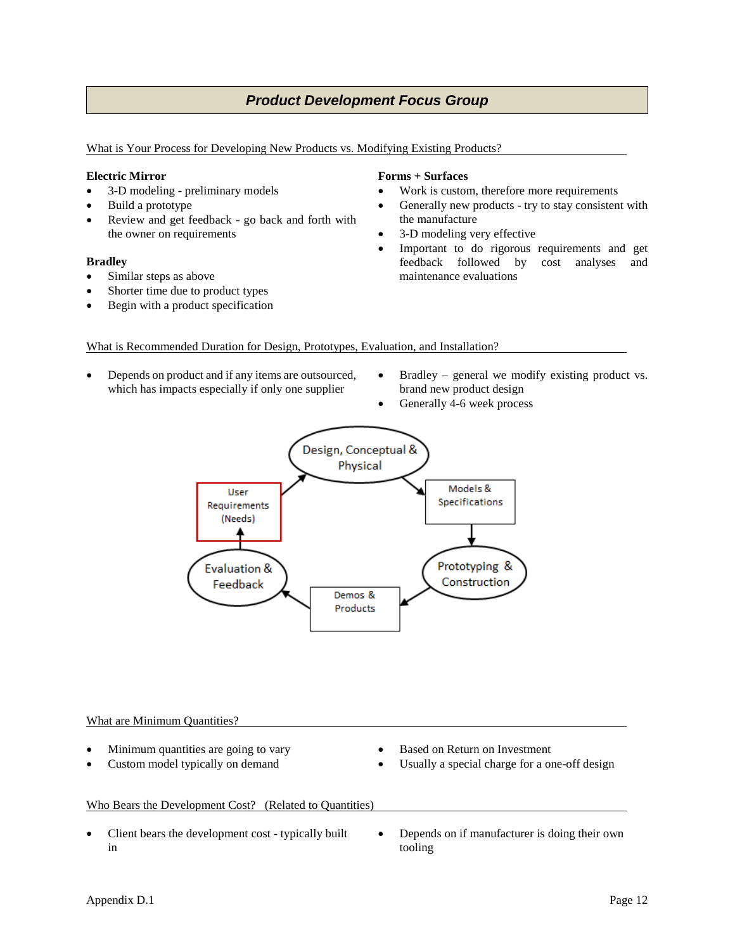# *Product Development Focus Group*

What is Your Process for Developing New Products vs. Modifying Existing Products?

## **Electric Mirror**

- 3-D modeling preliminary models
- Build a prototype
- Review and get feedback go back and forth with the owner on requirements

## **Bradley**

- Similar steps as above
- Shorter time due to product types
- Begin with a product specification

# **Forms + Surfaces**

- Work is custom, therefore more requirements
- Generally new products try to stay consistent with the manufacture
- 3-D modeling very effective
- Important to do rigorous requirements and get feedback followed by cost analyses and maintenance evaluations

# What is Recommended Duration for Design, Prototypes, Evaluation, and Installation?

- Depends on product and if any items are outsourced, which has impacts especially if only one supplier
- Bradley general we modify existing product vs. brand new product design
- Generally 4-6 week process



## What are Minimum Quantities?

- Minimum quantities are going to vary
- Custom model typically on demand
- Based on Return on Investment
- Usually a special charge for a one-off design

# Who Bears the Development Cost? (Related to Quantities)

- Client bears the development cost typically built in
- Depends on if manufacturer is doing their own tooling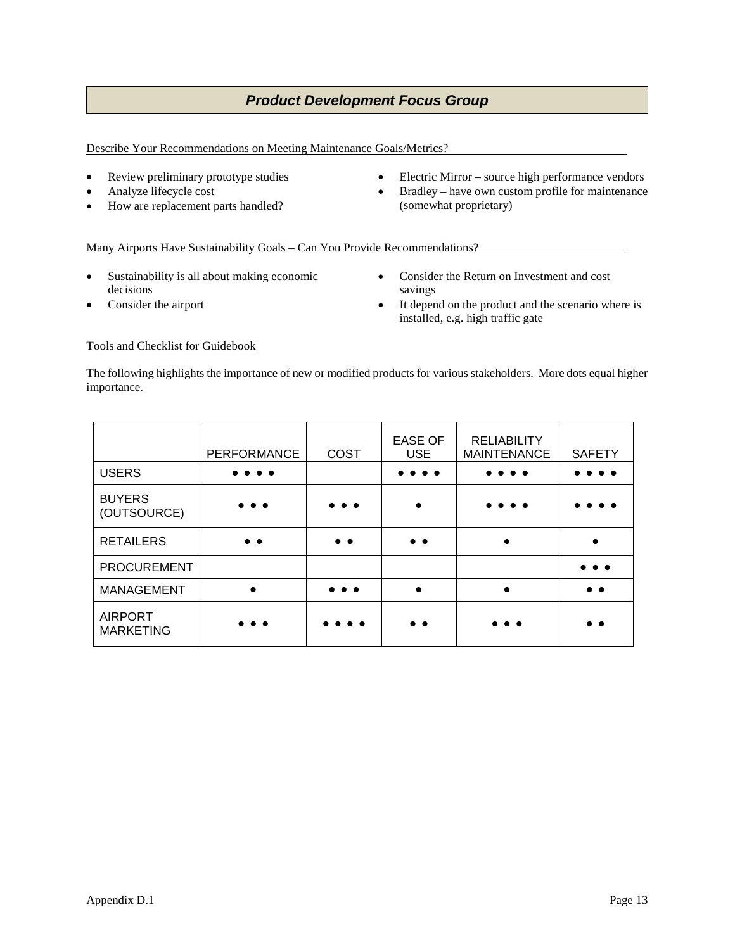# *Product Development Focus Group*

Describe Your Recommendations on Meeting Maintenance Goals/Metrics?

- Review preliminary prototype studies
- Analyze lifecycle cost
- How are replacement parts handled?
- Electric Mirror source high performance vendors
- Bradley have own custom profile for maintenance (somewhat proprietary)

# Many Airports Have Sustainability Goals – Can You Provide Recommendations?

- Sustainability is all about making economic decisions
- Consider the airport
- Consider the Return on Investment and cost savings
- It depend on the product and the scenario where is installed, e.g. high traffic gate

# Tools and Checklist for Guidebook

The following highlights the importance of new or modified products for various stakeholders. More dots equal higher importance.

|                                    | <b>PERFORMANCE</b>  | <b>COST</b>             | <b>EASE OF</b><br><b>USE</b> | <b>RELIABILITY</b><br><b>MAINTENANCE</b> | <b>SAFETY</b> |
|------------------------------------|---------------------|-------------------------|------------------------------|------------------------------------------|---------------|
| <b>USERS</b>                       | $\bullet\bullet$    |                         | . .                          | .                                        |               |
| <b>BUYERS</b><br>(OUTSOURCE)       | $\bullet\bullet$    | $\bullet\bullet\bullet$ |                              | .                                        |               |
| <b>RETAILERS</b>                   | $\bullet$ $\bullet$ | $\bullet\bullet$        | $\bullet$ $\bullet$          | $\bullet$                                |               |
| <b>PROCUREMENT</b>                 |                     |                         |                              |                                          |               |
| MANAGEMENT                         | $\bullet$           | $\bullet\bullet\bullet$ |                              |                                          | . .           |
| <b>AIRPORT</b><br><b>MARKETING</b> |                     |                         | $\bullet$ $\bullet$          | . .                                      |               |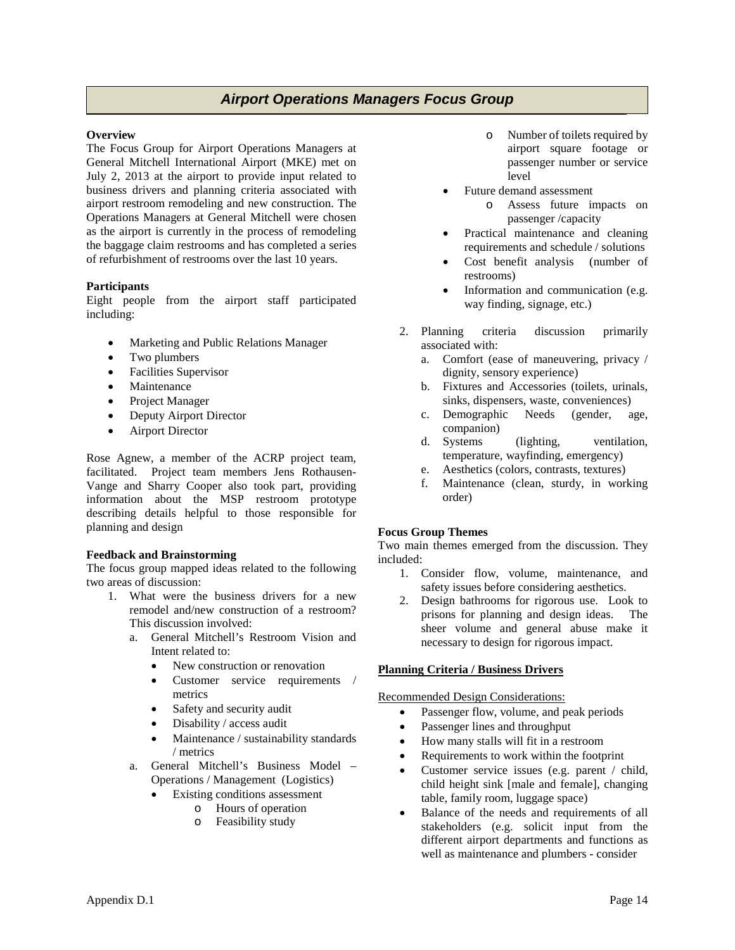# *Airport Operations Managers Focus Group Airport Operations Managers Focus Group*

## **Overview**

The Focus Group for Airport Operations Managers at General Mitchell International Airport (MKE) met on July 2, 2013 at the airport to provide input related to business drivers and planning criteria associated with airport restroom remodeling and new construction. The Operations Managers at General Mitchell were chosen as the airport is currently in the process of remodeling the baggage claim restrooms and has completed a series of refurbishment of restrooms over the last 10 years.

# **Participants**

Eight people from the airport staff participated including:

- Marketing and Public Relations Manager
- Two plumbers
- Facilities Supervisor
- **Maintenance**
- Project Manager
- Deputy Airport Director
- Airport Director

Rose Agnew, a member of the ACRP project team, facilitated. Project team members Jens Rothausen-Vange and Sharry Cooper also took part, providing information about the MSP restroom prototype describing details helpful to those responsible for planning and design

## **Feedback and Brainstorming**

The focus group mapped ideas related to the following two areas of discussion:

- 1. What were the business drivers for a new remodel and/new construction of a restroom? This discussion involved:
	- a. General Mitchell's Restroom Vision and Intent related to:
		- New construction or renovation
		- Customer service requirements / metrics
		- Safety and security audit
		- Disability / access audit
		- Maintenance / sustainability standards / metrics
	- a. General Mitchell's Business Model Operations / Management (Logistics)
		- Existing conditions assessment
			- o Hours of operation
			- o Feasibility study
- o Number of toilets required by airport square footage or passenger number or service level
- Future demand assessment
	- o Assess future impacts on passenger /capacity
- Practical maintenance and cleaning requirements and schedule / solutions
- Cost benefit analysis (number of restrooms)
- Information and communication (e.g. way finding, signage, etc.)
- 2. Planning criteria discussion primarily associated with:
	- a. Comfort (ease of maneuvering, privacy / dignity, sensory experience)
	- b. Fixtures and Accessories (toilets, urinals, sinks, dispensers, waste, conveniences)
	- c. Demographic Needs (gender, age, companion)
	- d. Systems (lighting, ventilation, temperature, wayfinding, emergency)
	- e. Aesthetics (colors, contrasts, textures)
	- f. Maintenance (clean, sturdy, in working order)

# **Focus Group Themes**

Two main themes emerged from the discussion. They included:

- 1. Consider flow, volume, maintenance, and safety issues before considering aesthetics.
- 2. Design bathrooms for rigorous use. Look to prisons for planning and design ideas. The sheer volume and general abuse make it necessary to design for rigorous impact.

# **Planning Criteria / Business Drivers**

## Recommended Design Considerations:

- Passenger flow, volume, and peak periods
- Passenger lines and throughput
- How many stalls will fit in a restroom
- Requirements to work within the footprint
- Customer service issues (e.g. parent / child, child height sink [male and female], changing table, family room, luggage space)
- Balance of the needs and requirements of all stakeholders (e.g. solicit input from the different airport departments and functions as well as maintenance and plumbers - consider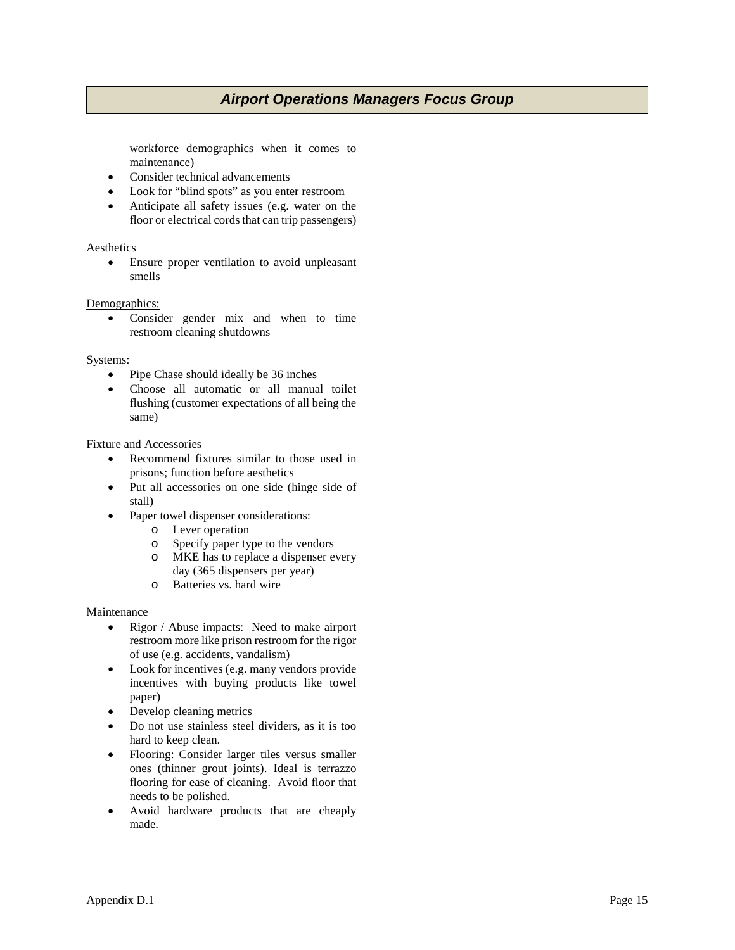# *Airport Operations Managers Focus Group*

workforce demographics when it comes to maintenance)

- Consider technical advancements
- Look for "blind spots" as you enter restroom
- Anticipate all safety issues (e.g. water on the floor or electrical cords that can trip passengers)

## Aesthetics

• Ensure proper ventilation to avoid unpleasant smells

## Demographics:

• Consider gender mix and when to time restroom cleaning shutdowns

## Systems:

- Pipe Chase should ideally be 36 inches
- Choose all automatic or all manual toilet flushing (customer expectations of all being the same)

## Fixture and Accessories

- Recommend fixtures similar to those used in prisons; function before aesthetics
- Put all accessories on one side (hinge side of stall)
- Paper towel dispenser considerations:
	- o Lever operation
	- o Specify paper type to the vendors
	- o MKE has to replace a dispenser every day (365 dispensers per year)
	- o Batteries vs. hard wire

## **Maintenance**

- Rigor / Abuse impacts: Need to make airport restroom more like prison restroom for the rigor of use (e.g. accidents, vandalism)
- Look for incentives (e.g. many vendors provide incentives with buying products like towel paper)
- Develop cleaning metrics
- Do not use stainless steel dividers, as it is too hard to keep clean.
- Flooring: Consider larger tiles versus smaller ones (thinner grout joints). Ideal is terrazzo flooring for ease of cleaning. Avoid floor that needs to be polished.
- Avoid hardware products that are cheaply made.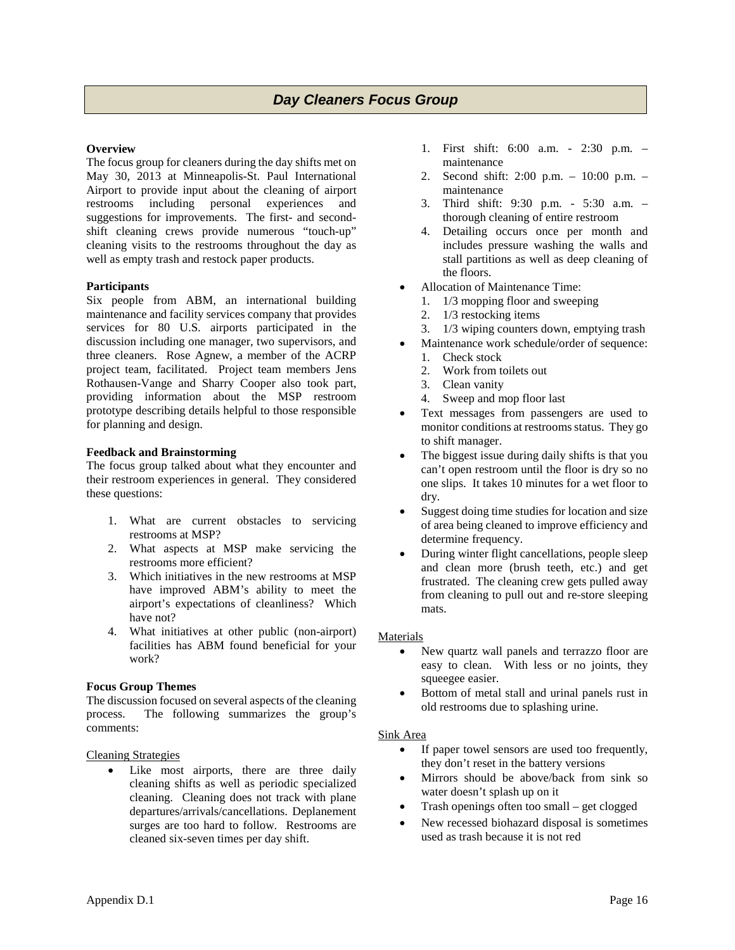# **Overview**

The focus group for cleaners during the day shifts met on May 30, 2013 at Minneapolis-St. Paul International Airport to provide input about the cleaning of airport restrooms including personal experiences and suggestions for improvements. The first- and secondshift cleaning crews provide numerous "touch-up" cleaning visits to the restrooms throughout the day as well as empty trash and restock paper products.

# **Participants**

Six people from ABM, an international building maintenance and facility services company that provides services for 80 U.S. airports participated in the discussion including one manager, two supervisors, and three cleaners. Rose Agnew, a member of the ACRP project team, facilitated. Project team members Jens Rothausen-Vange and Sharry Cooper also took part, providing information about the MSP restroom prototype describing details helpful to those responsible for planning and design.

# **Feedback and Brainstorming**

The focus group talked about what they encounter and their restroom experiences in general. They considered these questions:

- 1. What are current obstacles to servicing restrooms at MSP?
- 2. What aspects at MSP make servicing the restrooms more efficient?
- 3. Which initiatives in the new restrooms at MSP have improved ABM's ability to meet the airport's expectations of cleanliness? Which have not?
- 4. What initiatives at other public (non-airport) facilities has ABM found beneficial for your work?

## **Focus Group Themes**

The discussion focused on several aspects of the cleaning process. The following summarizes the group's comments:

## Cleaning Strategies

Like most airports, there are three daily cleaning shifts as well as periodic specialized cleaning. Cleaning does not track with plane departures/arrivals/cancellations. Deplanement surges are too hard to follow. Restrooms are cleaned six-seven times per day shift.

- 1. First shift: 6:00 a.m. 2:30 p.m. maintenance
- 2. Second shift: 2:00 p.m. 10:00 p.m. maintenance
- 3. Third shift: 9:30 p.m. 5:30 a.m. thorough cleaning of entire restroom
- 4. Detailing occurs once per month and includes pressure washing the walls and stall partitions as well as deep cleaning of the floors.
- Allocation of Maintenance Time:
	- 1. 1/3 mopping floor and sweeping
	- 2. 1/3 restocking items
	- 3. 1/3 wiping counters down, emptying trash
- Maintenance work schedule/order of sequence:
	- 1. Check stock
	- 2. Work from toilets out
	- 3. Clean vanity
	- 4. Sweep and mop floor last
- Text messages from passengers are used to monitor conditions at restrooms status. They go to shift manager.
- The biggest issue during daily shifts is that you can't open restroom until the floor is dry so no one slips. It takes 10 minutes for a wet floor to dry.
- Suggest doing time studies for location and size of area being cleaned to improve efficiency and determine frequency.
- During winter flight cancellations, people sleep and clean more (brush teeth, etc.) and get frustrated. The cleaning crew gets pulled away from cleaning to pull out and re-store sleeping mats.

# Materials

- New quartz wall panels and terrazzo floor are easy to clean. With less or no joints, they squeegee easier.
- Bottom of metal stall and urinal panels rust in old restrooms due to splashing urine.

# Sink Area

- If paper towel sensors are used too frequently, they don't reset in the battery versions
- Mirrors should be above/back from sink so water doesn't splash up on it
- Trash openings often too small get clogged
- New recessed biohazard disposal is sometimes used as trash because it is not red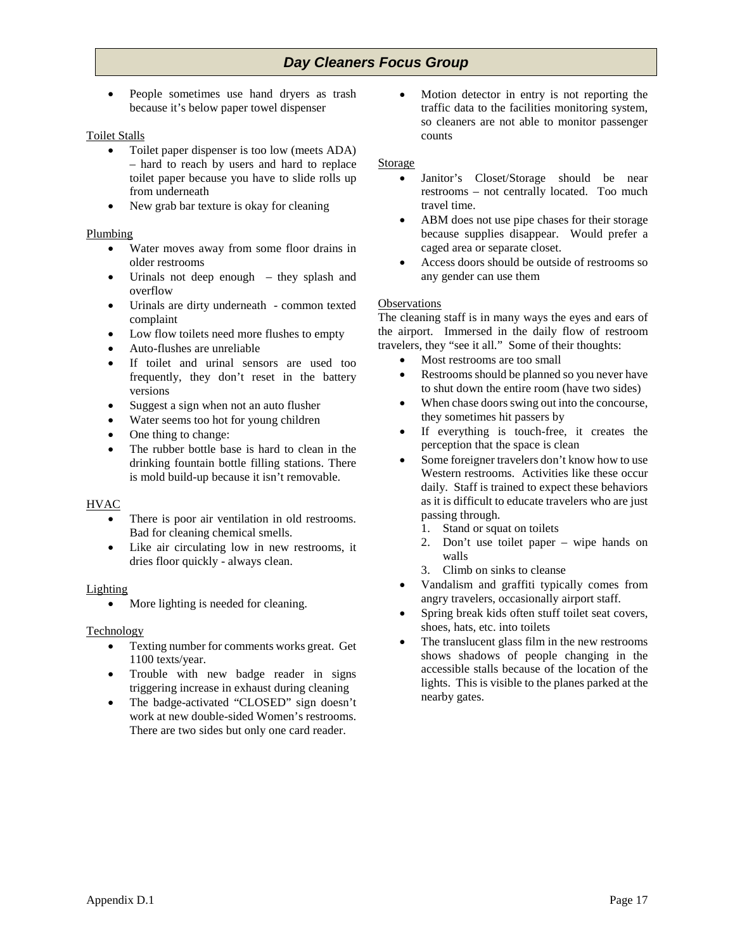# *Day Cleaners Focus Group*

• People sometimes use hand dryers as trash because it's below paper towel dispenser

# Toilet Stalls

- Toilet paper dispenser is too low (meets ADA) – hard to reach by users and hard to replace toilet paper because you have to slide rolls up from underneath
- New grab bar texture is okay for cleaning

# Plumbing

- Water moves away from some floor drains in older restrooms
- Urinals not deep enough they splash and overflow
- Urinals are dirty underneath common texted complaint
- Low flow toilets need more flushes to empty
- Auto-flushes are unreliable
- If toilet and urinal sensors are used too frequently, they don't reset in the battery versions
- Suggest a sign when not an auto flusher
- Water seems too hot for young children
- One thing to change:
- The rubber bottle base is hard to clean in the drinking fountain bottle filling stations. There is mold build-up because it isn't removable.

# **HVAC**

- There is poor air ventilation in old restrooms. Bad for cleaning chemical smells.
- Like air circulating low in new restrooms, it dries floor quickly - always clean.

## Lighting

• More lighting is needed for cleaning.

## Technology

- Texting number for comments works great. Get 1100 texts/year.
- Trouble with new badge reader in signs triggering increase in exhaust during cleaning
- The badge-activated "CLOSED" sign doesn't work at new double-sided Women's restrooms. There are two sides but only one card reader.

Motion detector in entry is not reporting the traffic data to the facilities monitoring system, so cleaners are not able to monitor passenger counts

#### Storage

- Janitor's Closet/Storage should be near restrooms – not centrally located. Too much travel time.
- ABM does not use pipe chases for their storage because supplies disappear. Would prefer a caged area or separate closet.
- Access doors should be outside of restrooms so any gender can use them

## **Observations**

The cleaning staff is in many ways the eyes and ears of the airport. Immersed in the daily flow of restroom travelers, they "see it all." Some of their thoughts:

- Most restrooms are too small
- Restrooms should be planned so you never have to shut down the entire room (have two sides)
- When chase doors swing out into the concourse, they sometimes hit passers by
- If everything is touch-free, it creates the perception that the space is clean
- Some foreigner travelers don't know how to use Western restrooms. Activities like these occur daily. Staff is trained to expect these behaviors as it is difficult to educate travelers who are just passing through.
	- 1. Stand or squat on toilets
	- 2. Don't use toilet paper wipe hands on walls
	- 3. Climb on sinks to cleanse
- Vandalism and graffiti typically comes from angry travelers, occasionally airport staff.
- Spring break kids often stuff toilet seat covers, shoes, hats, etc. into toilets
- The translucent glass film in the new restrooms shows shadows of people changing in the accessible stalls because of the location of the lights. This is visible to the planes parked at the nearby gates.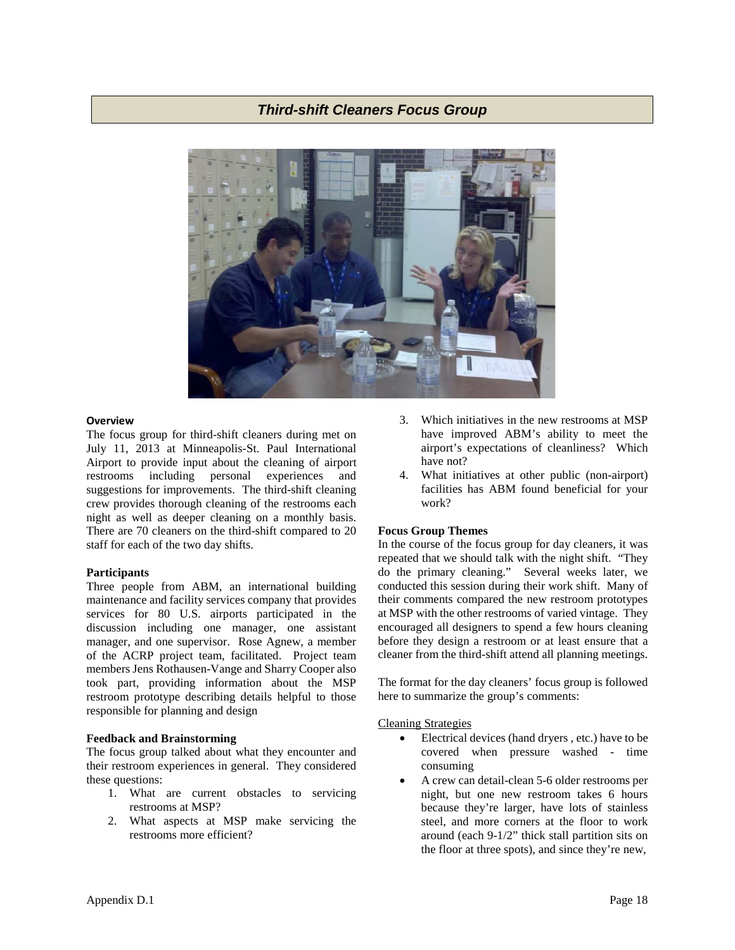# *Third-shift Cleaners Focus Group*



#### **Overview**

The focus group for third-shift cleaners during met on July 11, 2013 at Minneapolis-St. Paul International Airport to provide input about the cleaning of airport restrooms including personal experiences and suggestions for improvements. The third-shift cleaning crew provides thorough cleaning of the restrooms each night as well as deeper cleaning on a monthly basis. There are 70 cleaners on the third-shift compared to 20 staff for each of the two day shifts.

## **Participants**

Three people from ABM, an international building maintenance and facility services company that provides services for 80 U.S. airports participated in the discussion including one manager, one assistant manager, and one supervisor. Rose Agnew, a member of the ACRP project team, facilitated. Project team members Jens Rothausen-Vange and Sharry Cooper also took part, providing information about the MSP restroom prototype describing details helpful to those responsible for planning and design

## **Feedback and Brainstorming**

The focus group talked about what they encounter and their restroom experiences in general. They considered these questions:

- 1. What are current obstacles to servicing restrooms at MSP?
- 2. What aspects at MSP make servicing the restrooms more efficient?
- 3. Which initiatives in the new restrooms at MSP have improved ABM's ability to meet the airport's expectations of cleanliness? Which have not?
- 4. What initiatives at other public (non-airport) facilities has ABM found beneficial for your work?

## **Focus Group Themes**

In the course of the focus group for day cleaners, it was repeated that we should talk with the night shift. "They do the primary cleaning." Several weeks later, we conducted this session during their work shift. Many of their comments compared the new restroom prototypes at MSP with the other restrooms of varied vintage. They encouraged all designers to spend a few hours cleaning before they design a restroom or at least ensure that a cleaner from the third-shift attend all planning meetings.

The format for the day cleaners' focus group is followed here to summarize the group's comments:

# Cleaning Strategies

- Electrical devices (hand dryers , etc.) have to be covered when pressure washed - time consuming
- A crew can detail-clean 5-6 older restrooms per night, but one new restroom takes 6 hours because they're larger, have lots of stainless steel, and more corners at the floor to work around (each 9-1/2" thick stall partition sits on the floor at three spots), and since they're new,